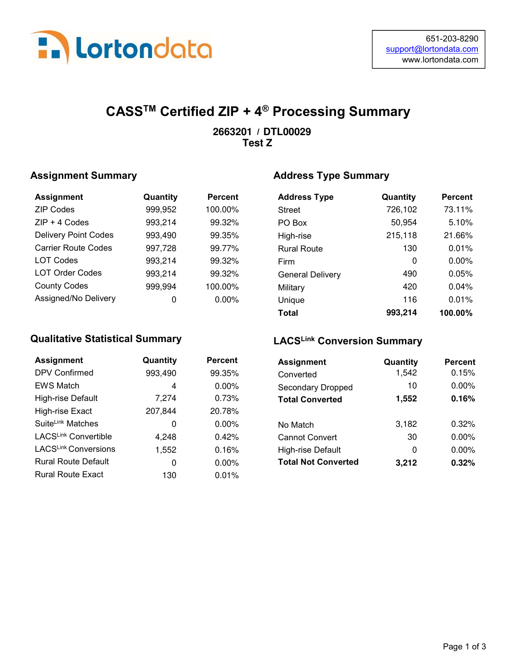

# CASSTM Certified ZIP + 4® Processing Summary

#### / **2663201 DTL00029 Test Z**

#### Assignment Summary

| <b>Assignment</b>           | Quantity | <b>Percent</b> |
|-----------------------------|----------|----------------|
| <b>ZIP Codes</b>            | 999,952  | 100.00%        |
| $ZIP + 4$ Codes             | 993,214  | 99.32%         |
| <b>Delivery Point Codes</b> | 993,490  | 99.35%         |
| <b>Carrier Route Codes</b>  | 997,728  | 99.77%         |
| <b>LOT Codes</b>            | 993,214  | 99.32%         |
| <b>LOT Order Codes</b>      | 993,214  | 99.32%         |
| <b>County Codes</b>         | 999,994  | 100.00%        |
| Assigned/No Delivery        |          | 0.00%          |

#### Qualitative Statistical Summary

| <b>Assignment</b>             | Quantity | Percent  |
|-------------------------------|----------|----------|
| <b>DPV Confirmed</b>          | 993,490  | 99.35%   |
| <b>EWS Match</b>              | 4        | $0.00\%$ |
| High-rise Default             | 7,274    | 0.73%    |
| High-rise Exact               | 207,844  | 20.78%   |
| Suite <sup>Link</sup> Matches | 0        | $0.00\%$ |
| LACSLink Convertible          | 4,248    | 0.42%    |
| LACSLink Conversions          | 1,552    | 0.16%    |
| <b>Rural Route Default</b>    | O        | $0.00\%$ |
| <b>Rural Route Exact</b>      | 130      | 0.01%    |

#### Address Type Summary

| <b>Address Type</b>     | Quantity | <b>Percent</b> |
|-------------------------|----------|----------------|
| <b>Street</b>           | 726,102  | 73.11%         |
| PO Box                  | 50,954   | 5.10%          |
| High-rise               | 215,118  | 21.66%         |
| <b>Rural Route</b>      | 130      | 0.01%          |
| Firm                    | 0        | $0.00\%$       |
| <b>General Delivery</b> | 490      | 0.05%          |
| Military                | 420      | 0.04%          |
| Unique                  | 116      | 0.01%          |
| Total                   | 993.214  | 100.00%        |

#### LACSLink Conversion Summary

| antity | <b>Percent</b> | <b>Assignment</b>          | Quantity | <b>Percent</b> |
|--------|----------------|----------------------------|----------|----------------|
| 3,490  | 99.35%         | Converted                  | 1,542    | 0.15%          |
| 4      | $0.00\%$       | <b>Secondary Dropped</b>   | 10       | 0.00%          |
| 7,274  | 0.73%          | <b>Total Converted</b>     | 1,552    | 0.16%          |
| 7,844  | 20.78%         |                            |          |                |
| 0      | $0.00\%$       | No Match                   | 3,182    | 0.32%          |
| 4,248  | 0.42%          | <b>Cannot Convert</b>      | 30       | 0.00%          |
| 1,552  | 0.16%          | High-rise Default          | 0        | 0.00%          |
| 0      | $0.00\%$       | <b>Total Not Converted</b> | 3,212    | 0.32%          |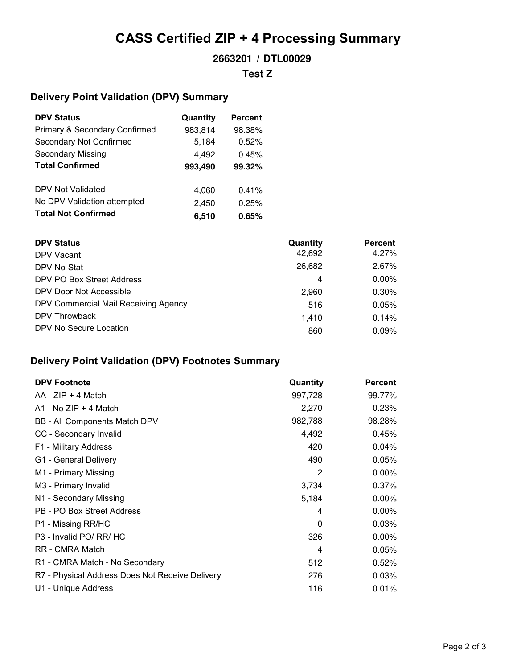# CASS Certified ZIP + 4 Processing Summary

#### / **2663201 DTL00029**

#### **Test Z**

#### Delivery Point Validation (DPV) Summary

| <b>DPV Status</b>                        | Quantity | Percent |
|------------------------------------------|----------|---------|
| <b>Primary &amp; Secondary Confirmed</b> | 983,814  | 98.38%  |
| Secondary Not Confirmed                  | 5,184    | 0.52%   |
| <b>Secondary Missing</b>                 | 4,492    | 0.45%   |
| <b>Total Confirmed</b>                   | 993,490  | 99.32%  |
| DPV Not Validated                        | 4,060    | 0.41%   |
| No DPV Validation attempted              | 2,450    | 0.25%   |
| <b>Total Not Confirmed</b>               | 6.510    | 0.65%   |

| <b>DPV Status</b>                    | Quantity | <b>Percent</b> |
|--------------------------------------|----------|----------------|
| DPV Vacant                           | 42,692   | 4.27%          |
| DPV No-Stat                          | 26,682   | 2.67%          |
| DPV PO Box Street Address            | 4        | $0.00\%$       |
| DPV Door Not Accessible              | 2,960    | 0.30%          |
| DPV Commercial Mail Receiving Agency | 516      | 0.05%          |
| DPV Throwback                        | 1.410    | 0.14%          |
| DPV No Secure Location               | 860      | 0.09%          |

### Delivery Point Validation (DPV) Footnotes Summary

| <b>DPV Footnote</b>                             | Quantity       | <b>Percent</b> |
|-------------------------------------------------|----------------|----------------|
| $AA - ZIP + 4 Match$                            | 997,728        | 99.77%         |
| $A1 - No$ ZIP + 4 Match                         | 2,270          | 0.23%          |
| BB - All Components Match DPV                   | 982,788        | 98.28%         |
| CC - Secondary Invalid                          | 4,492          | 0.45%          |
| F1 - Military Address                           | 420            | 0.04%          |
| G1 - General Delivery                           | 490            | 0.05%          |
| M1 - Primary Missing                            | 2              | $0.00\%$       |
| M3 - Primary Invalid                            | 3,734          | 0.37%          |
| N1 - Secondary Missing                          | 5,184          | $0.00\%$       |
| PB - PO Box Street Address                      | 4              | 0.00%          |
| P1 - Missing RR/HC                              | $\Omega$       | 0.03%          |
| P3 - Invalid PO/ RR/ HC                         | 326            | $0.00\%$       |
| RR - CMRA Match                                 | $\overline{4}$ | 0.05%          |
| R1 - CMRA Match - No Secondary                  | 512            | 0.52%          |
| R7 - Physical Address Does Not Receive Delivery | 276            | 0.03%          |
| U1 - Unique Address                             | 116            | 0.01%          |